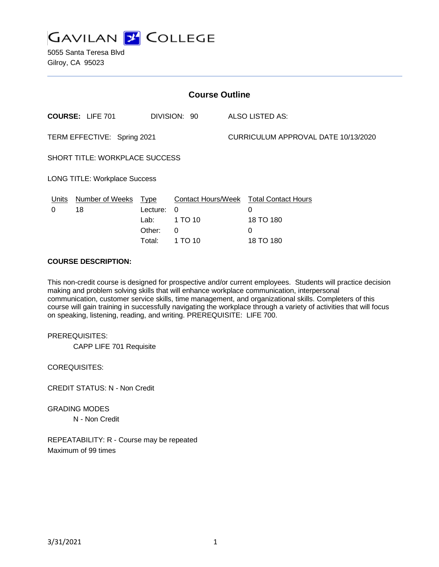

5055 Santa Teresa Blvd Gilroy, CA 95023

| <b>Course Outline</b>                |                         |             |              |                                     |                                               |
|--------------------------------------|-------------------------|-------------|--------------|-------------------------------------|-----------------------------------------------|
|                                      | <b>COURSE: LIFE 701</b> |             | DIVISION: 90 |                                     | ALSO LISTED AS:                               |
| TERM EFFECTIVE: Spring 2021          |                         |             |              | CURRICULUM APPROVAL DATE 10/13/2020 |                                               |
| SHORT TITLE: WORKPLACE SUCCESS       |                         |             |              |                                     |                                               |
| <b>LONG TITLE: Workplace Success</b> |                         |             |              |                                     |                                               |
| <u>Units</u>                         | <b>Number of Weeks</b>  | <u>Type</u> |              |                                     | <b>Contact Hours/Week Total Contact Hours</b> |
| 0                                    | 18                      | Lecture:    | 0            |                                     | 0                                             |
|                                      |                         | Lab:        | 1 TO 10      |                                     | 18 TO 180                                     |
|                                      |                         | Other:      | 0            |                                     | 0                                             |
|                                      |                         | Total:      | 1 TO 10      |                                     | 18 TO 180                                     |

#### **COURSE DESCRIPTION:**

This non-credit course is designed for prospective and/or current employees. Students will practice decision making and problem solving skills that will enhance workplace communication, interpersonal communication, customer service skills, time management, and organizational skills. Completers of this course will gain training in successfully navigating the workplace through a variety of activities that will focus on speaking, listening, reading, and writing. PREREQUISITE: LIFE 700.

PREREQUISITES:

CAPP LIFE 701 Requisite

COREQUISITES:

CREDIT STATUS: N - Non Credit

GRADING MODES N - Non Credit

REPEATABILITY: R - Course may be repeated Maximum of 99 times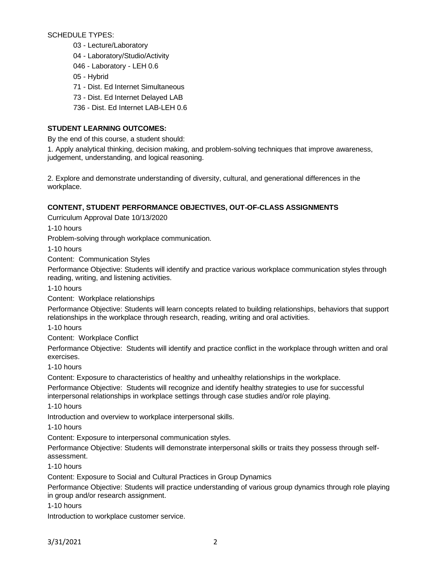SCHEDULE TYPES:

- 03 Lecture/Laboratory
- 04 Laboratory/Studio/Activity
- 046 Laboratory LEH 0.6
- 05 Hybrid
- 71 Dist. Ed Internet Simultaneous
- 73 Dist. Ed Internet Delayed LAB
- 736 Dist. Ed Internet LAB-LEH 0.6

# **STUDENT LEARNING OUTCOMES:**

By the end of this course, a student should:

1. Apply analytical thinking, decision making, and problem-solving techniques that improve awareness, judgement, understanding, and logical reasoning.

2. Explore and demonstrate understanding of diversity, cultural, and generational differences in the workplace.

# **CONTENT, STUDENT PERFORMANCE OBJECTIVES, OUT-OF-CLASS ASSIGNMENTS**

Curriculum Approval Date 10/13/2020

1-10 hours

Problem-solving through workplace communication.

1-10 hours

Content: Communication Styles

Performance Objective: Students will identify and practice various workplace communication styles through reading, writing, and listening activities.

1-10 hours

Content: Workplace relationships

Performance Objective: Students will learn concepts related to building relationships, behaviors that support relationships in the workplace through research, reading, writing and oral activities.

1-10 hours

Content: Workplace Conflict

Performance Objective: Students will identify and practice conflict in the workplace through written and oral exercises.

1-10 hours

Content: Exposure to characteristics of healthy and unhealthy relationships in the workplace.

Performance Objective: Students will recognize and identify healthy strategies to use for successful interpersonal relationships in workplace settings through case studies and/or role playing.

1-10 hours

Introduction and overview to workplace interpersonal skills.

1-10 hours

Content: Exposure to interpersonal communication styles.

Performance Objective: Students will demonstrate interpersonal skills or traits they possess through selfassessment.

1-10 hours

Content: Exposure to Social and Cultural Practices in Group Dynamics

Performance Objective: Students will practice understanding of various group dynamics through role playing in group and/or research assignment.

1-10 hours

Introduction to workplace customer service.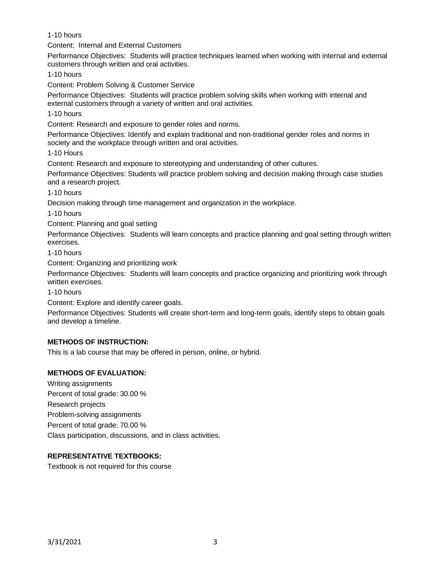1-10 hours

Content: Internal and External Customers

Performance Objectives: Students will practice techniques learned when working with internal and external customers through written and oral activities.

1-10 hours

Content: Problem Solving & Customer Service

Performance Objectives: Students will practice problem solving skills when working with internal and external customers through a variety of written and oral activities.

1-10 hours

Content: Research and exposure to gender roles and norms.

Performance Objectives: Identify and explain traditional and non-traditional gender roles and norms in society and the workplace through written and oral activities.

1-10 Hours

Content: Research and exposure to stereotyping and understanding of other cultures.

Performance Objectives: Students will practice problem solving and decision making through case studies and a research project.

1-10 hours

Decision making through time management and organization in the workplace.

1-10 hours

Content: Planning and goal setting

Performance Objectives: Students will learn concepts and practice planning and goal setting through written exercises.

1-10 hours

Content: Organizing and prioritizing work

Performance Objectives: Students will learn concepts and practice organizing and prioritizing work through written exercises.

1-10 hours

Content: Explore and identify career goals.

Performance Objectives: Students will create short-term and long-term goals, identify steps to obtain goals and develop a timeline.

### **METHODS OF INSTRUCTION:**

This is a lab course that may be offered in person, online, or hybrid.

### **METHODS OF EVALUATION:**

Writing assignments Percent of total grade: 30.00 % Research projects Problem-solving assignments Percent of total grade: 70.00 % Class participation, discussions, and in class activities.

### **REPRESENTATIVE TEXTBOOKS:**

Textbook is not required for this course